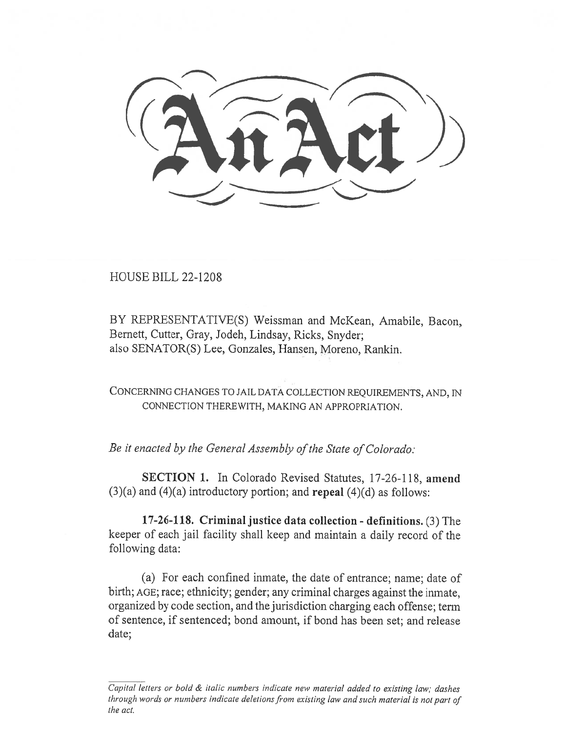HOUSE BILL 22-1208

BY REPRESENTATIVE(S) Weissman and McKean, Amabile, Bacon, Bernett, Cutter, Gray, Jodeh, Lindsay, Ricks, Snyder; also SENATOR(S) Lee, Gonzales, Hansen, Moreno, Rankin.

CONCERNING CHANGES TO JAIL DATA COLLECTION REQUIREMENTS, AND, IN CONNECTION THEREWITH, MAKING AN APPROPRIATION.

Be it enacted by the General Assembly of the State of Colorado:

SECTION 1. In Colorado Revised Statutes, 17-26-118, amend  $(3)(a)$  and  $(4)(a)$  introductory portion; and **repeal**  $(4)(d)$  as follows:

17-26-118. Criminal justice data collection - definitions. (3) The keeper of each jail facility shall keep and maintain a daily record of the following data:

(a) For each confined inmate, the date of entrance; name; date of birth; AGE; race; ethnicity; gender; any criminal charges against the inmate, organized by code section, and the jurisdiction charging each offense; term of sentence, if sentenced; bond amount, if bond has been set; and release date;

Capital letters or bold & italic numbers indicate new material added to existing law; dashes through words or numbers indicate deletions from existing law and such material is not part of the act.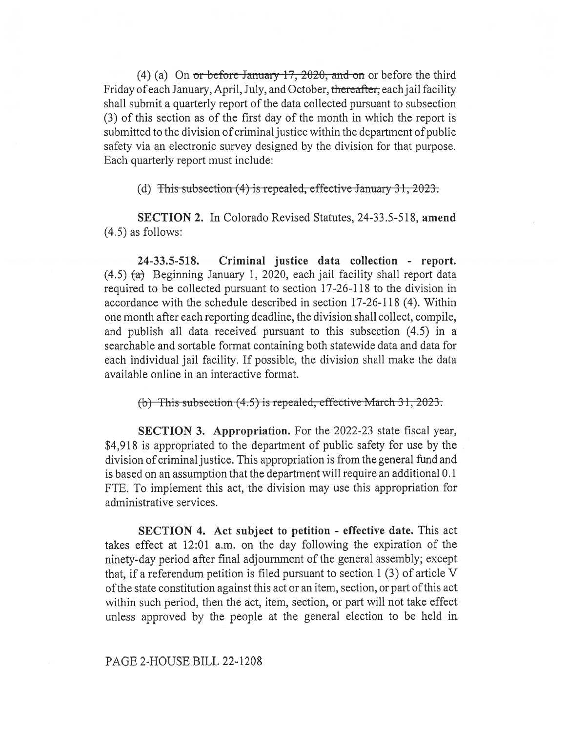(4) (a) On or before January  $17, 2020$ , and on or before the third Friday of each January, April, July, and October, thereafter; each jail facility shall submit a quarterly report of the data collected pursuant to subsection (3) of this section as of the first day of the month in which the report is submitted to the division of criminal justice within the department of public safety via an electronic survey designed by the division for that purpose. Each quarterly report must include:

(d) This subsection  $(4)$  is repealed, effective January 31, 2023.

SECTION 2. In Colorado Revised Statutes, 24-33.5-518, amend (4.5) as follows:

24-33.5-518. Criminal justice data collection - report.  $(4.5)$   $(a)$  Beginning January 1, 2020, each jail facility shall report data required to be collected pursuant to section 17-26-118 to the division in accordance with the schedule described in section 17-26-118 (4). Within one month after each reporting deadline, the division shall collect, compile, and publish all data received pursuant to this subsection (4.5) in a searchable and sortable format containing both statewide data and data for each individual jail facility. If possible, the division shall make the data available online in an interactive format.

(b) This subsection  $(4.5)$  is repealed, effective March 31, 2023.

SECTION 3. Appropriation. For the 2022-23 state fiscal year, \$4,918 is appropriated to the department of public safety for use by the division of criminal justice. This appropriation is from the general fund and is based on an assumption that the department will require an additional 0.1 FTE. To implement this act, the division may use this appropriation for administrative services.

SECTION 4. Act subject to petition - effective date. This act takes effect at 12:01 a.m. on the day following the expiration of the ninety-day period after final adjournment of the general assembly; except that, if a referendum petition is filed pursuant to section 1 (3) of article V of the state constitution against this act or an item, section, or part of this act within such period, then the act, item, section, or part will not take effect unless approved by the people at the general election to be held in

PAGE 2-HOUSE BILL 22-1208